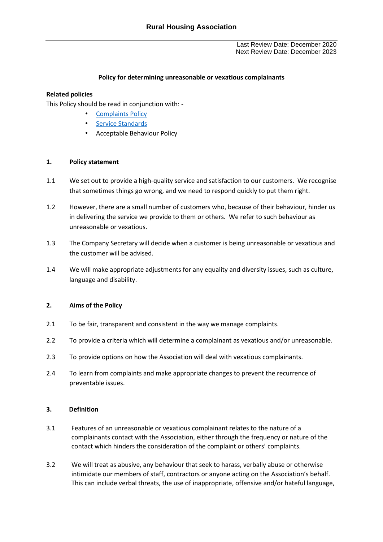Last Review Date: December 2020 Next Review Date: December 2023

# **Policy for determining unreasonable or vexatious complainants**

# **Related policies**

This Policy should be read in conjunction with: -

- [Complaints Policy](https://www.warwickshirerha.org.uk/media/4435/wrha-complaints-policy-2021-web.pdf)
- [Service Standards](https://www.warwickshirerha.org.uk/about-us/our-service-promises/)
- Acceptable Behaviour Policy

### **1. Policy statement**

- 1.1 We set out to provide a high-quality service and satisfaction to our customers. We recognise that sometimes things go wrong, and we need to respond quickly to put them right.
- 1.2 However, there are a small number of customers who, because of their behaviour, hinder us in delivering the service we provide to them or others. We refer to such behaviour as unreasonable or vexatious.
- 1.3 The Company Secretary will decide when a customer is being unreasonable or vexatious and the customer will be advised.
- 1.4 We will make appropriate adjustments for any equality and diversity issues, such as culture, language and disability.

### **2. Aims of the Policy**

- 2.1 To be fair, transparent and consistent in the way we manage complaints.
- 2.2 To provide a criteria which will determine a complainant as vexatious and/or unreasonable.
- 2.3 To provide options on how the Association will deal with vexatious complainants.
- 2.4 To learn from complaints and make appropriate changes to prevent the recurrence of preventable issues.

### **3. Definition**

- 3.1 Features of an unreasonable or vexatious complainant relates to the nature of a complainants contact with the Association, either through the frequency or nature of the contact which hinders the consideration of the complaint or others' complaints.
- 3.2 We will treat as abusive, any behaviour that seek to harass, verbally abuse or otherwise intimidate our members of staff, contractors or anyone acting on the Association's behalf. This can include verbal threats, the use of inappropriate, offensive and/or hateful language,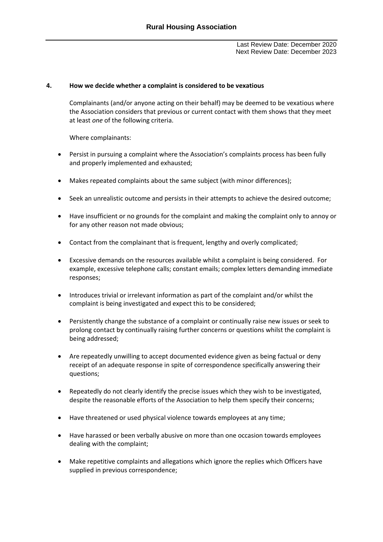Last Review Date: December 2020 Next Review Date: December 2023

#### **4. How we decide whether a complaint is considered to be vexatious**

Complainants (and/or anyone acting on their behalf) may be deemed to be vexatious where the Association considers that previous or current contact with them shows that they meet at least *one* of the following criteria.

Where complainants:

- Persist in pursuing a complaint where the Association's complaints process has been fully and properly implemented and exhausted;
- Makes repeated complaints about the same subject (with minor differences);
- Seek an unrealistic outcome and persists in their attempts to achieve the desired outcome;
- Have insufficient or no grounds for the complaint and making the complaint only to annoy or for any other reason not made obvious;
- Contact from the complainant that is frequent, lengthy and overly complicated;
- Excessive demands on the resources available whilst a complaint is being considered. For example, excessive telephone calls; constant emails; complex letters demanding immediate responses;
- Introduces trivial or irrelevant information as part of the complaint and/or whilst the complaint is being investigated and expect this to be considered;
- Persistently change the substance of a complaint or continually raise new issues or seek to prolong contact by continually raising further concerns or questions whilst the complaint is being addressed;
- Are repeatedly unwilling to accept documented evidence given as being factual or deny receipt of an adequate response in spite of correspondence specifically answering their questions;
- Repeatedly do not clearly identify the precise issues which they wish to be investigated, despite the reasonable efforts of the Association to help them specify their concerns;
- Have threatened or used physical violence towards employees at any time;
- Have harassed or been verbally abusive on more than one occasion towards employees dealing with the complaint;
- Make repetitive complaints and allegations which ignore the replies which Officers have supplied in previous correspondence;